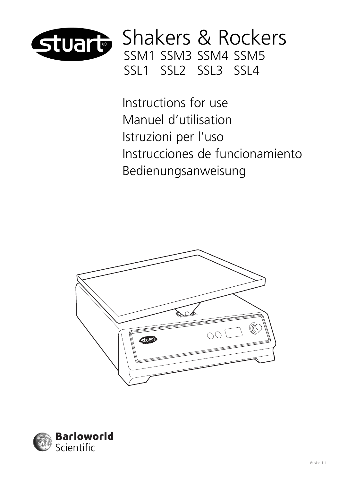

Shakers & Rockers SSM1 SSM3 SSM4 SSM5 SSL1 SSL2 SSL3 SSL4

Instructions for use Manuel d'utilisation Istruzioni per l'uso Instrucciones de funcionamiento Bedienungsanweisung



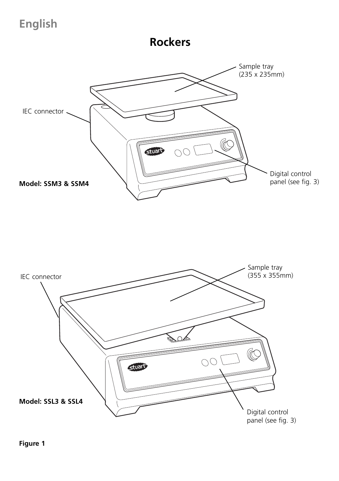**English**

**Rockers**



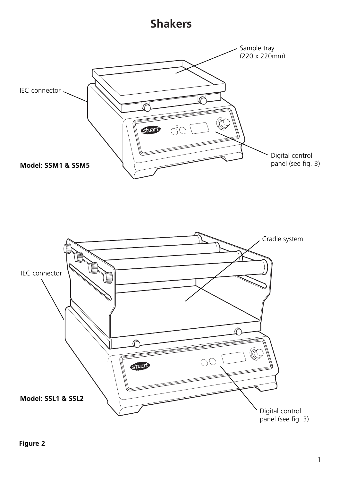### **Shakers**



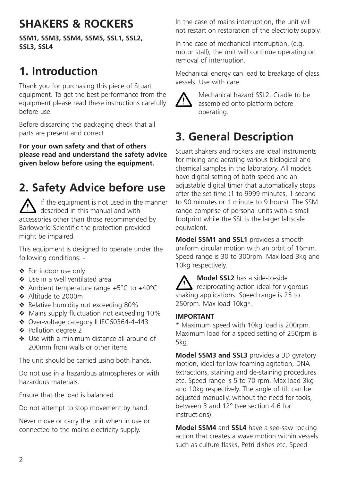# **SHAKERS & ROCKERS**

**SSM1, SSM3, SSM4, SSM5, SSL1, SSL2, SSL3, SSL4**

## **1. Introduction**

Thank you for purchasing this piece of Stuart equipment. To get the best performance from the equipment please read these instructions carefully before use.

Before discarding the packaging check that all parts are present and correct.

**For your own safety and that of others please read and understand the safety advice given below before using the equipment.**

# **2. Safety Advice before use**

If the equipment is not used in the manner described in this manual and with accessories other than those recommended by Barloworld Scientific the protection provided might be impaired.

This equipment is designed to operate under the following conditions: -

- ❖ For indoor use only
- ❖ Use in a well ventilated area
- ❖ Ambient temperature range +5°C to +40°C
- ❖ Altitude to 2000m
- ❖ Relative humidity not exceeding 80%
- ❖ Mains supply fluctuation not exceeding 10%
- ❖ Over-voltage category II IEC60364-4-443
- ❖ Pollution degree 2
- ❖ Use with a minimum distance all around of 200mm from walls or other items

The unit should be carried using both hands.

Do not use in a hazardous atmospheres or with hazardous materials.

Ensure that the load is balanced.

Do not attempt to stop movement by hand.

Never move or carry the unit when in use or connected to the mains electricity supply.

In the case of mains interruption, the unit will not restart on restoration of the electricity supply.

In the case of mechanical interruption, (e.g. motor stall), the unit will continue operating on removal of interruption.

Mechanical energy can lead to breakage of glass vessels. Use with care.



Mechanical hazard SSL2. Cradle to be assembled onto platform before operating.

# **3. General Description**

Stuart shakers and rockers are ideal instruments for mixing and aerating various biological and chemical samples in the laboratory. All models have digital setting of both speed and an adjustable digital timer that automatically stops after the set time (1 to 9999 minutes, 1 second to 90 minutes or 1 minute to 9 hours). The SSM range comprise of personal units with a small footprint while the SSL is the larger labscale equivalent.

**Model SSM1 and SSL1** provides a smooth uniform circular motion with an orbit of 16mm. Speed range is 30 to 300rpm. Max load 3kg and 10kg respectively.

**Model SSL2** has a side-to-side reciprocating action ideal for vigorous shaking applications. Speed range is 25 to 250rpm. Max load 10kg\*.

### **IMPORTANT**

\* Maximum speed with 10kg load is 200rpm. Maximum load for a speed setting of 250rpm is 5kg.

**Model SSM3 and SSL3** provides a 3D gyratory motion, ideal for low foaming agitation, DNA extractions, staining and de-staining procedures etc. Speed range is 5 to 70 rpm. Max load 3kg and 10kg respectively. The angle of tilt can be adjusted manually, without the need for tools, between 3 and 12° (see section 4.6 for instructions).

**Model SSM4** and **SSL4** have a see-saw rocking action that creates a wave motion within vessels such as culture flasks, Petri dishes etc. Speed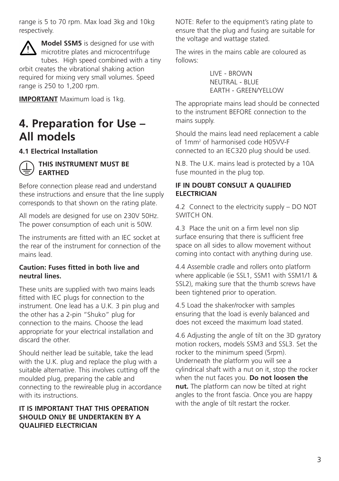range is 5 to 70 rpm. Max load 3kg and 10kg respectively.

**Model SSM5** is designed for use with microtitre plates and microcentrifuge tubes. High speed combined with a tiny orbit creates the vibrational shaking action required for mixing very small volumes. Speed range is 250 to 1,200 rpm.

**IMPORTANT** Maximum load is 1kg.

## **4. Preparation for Use – All models**

### **4.1 Electrical Installation**



### **THIS INSTRUMENT MUST BE EARTHED**

Before connection please read and understand these instructions and ensure that the line supply corresponds to that shown on the rating plate.

All models are designed for use on 230V 50Hz. The power consumption of each unit is 50W.

The instruments are fitted with an IEC socket at the rear of the instrument for connection of the mains lead.

### **Caution: Fuses fitted in both live and neutral lines.**

These units are supplied with two mains leads fitted with IEC plugs for connection to the instrument. One lead has a U.K. 3 pin plug and the other has a 2-pin "Shuko" plug for connection to the mains. Choose the lead appropriate for your electrical installation and discard the other.

Should neither lead be suitable, take the lead with the U.K. plug and replace the plug with a suitable alternative. This involves cutting off the moulded plug, preparing the cable and connecting to the rewireable plug in accordance with its instructions.

### **IT IS IMPORTANT THAT THIS OPERATION SHOULD ONLY BE UNDERTAKEN BY A QUALIFIED ELECTRICIAN**

NOTE: Refer to the equipment's rating plate to ensure that the plug and fusing are suitable for the voltage and wattage stated.

The wires in the mains cable are coloured as follows:

> LIVE - BROWN NEUTRAL - BLUE EARTH - GREEN/YELLOW

The appropriate mains lead should be connected to the instrument BEFORE connection to the mains supply.

Should the mains lead need replacement a cable of 1mm2 of harmonised code H05VV-F connected to an IEC320 plug should be used.

N.B. The U.K. mains lead is protected by a 10A fuse mounted in the plug top.

### **IF IN DOUBT CONSULT A QUALIFIED ELECTRICIAN**

4.2 Connect to the electricity supply – DO NOT SWITCH ON.

4.3 Place the unit on a firm level non slip surface ensuring that there is sufficient free space on all sides to allow movement without coming into contact with anything during use.

4.4 Assemble cradle and rollers onto platform where applicable (ie SSL1, SSM1 with SSM1/1 & SSL2), making sure that the thumb screws have been tightened prior to operation.

4.5 Load the shaker/rocker with samples ensuring that the load is evenly balanced and does not exceed the maximum load stated.

4.6 Adjusting the angle of tilt on the 3D gyratory motion rockers, models SSM3 and SSL3. Set the rocker to the minimum speed (5rpm). Underneath the platform you will see a cylindrical shaft with a nut on it, stop the rocker when the nut faces you. **Do not loosen the nut.** The platform can now be tilted at right angles to the front fascia. Once you are happy with the angle of tilt restart the rocker.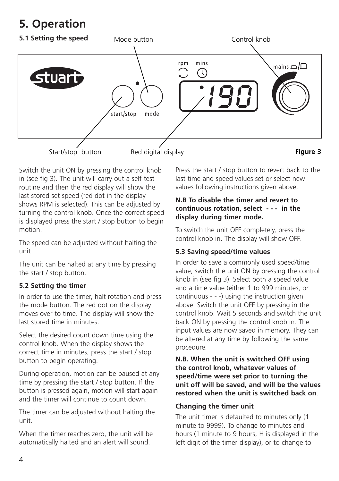## **5. Operation**



Switch the unit ON by pressing the control knob in (see fig 3). The unit will carry out a self test routine and then the red display will show the last stored set speed (red dot in the display shows RPM is selected). This can be adjusted by turning the control knob. Once the correct speed is displayed press the start / stop button to begin motion.

The speed can be adjusted without halting the unit.

The unit can be halted at any time by pressing the start / stop button.

### **5.2 Setting the timer**

In order to use the timer, halt rotation and press the mode button. The red dot on the display moves over to time. The display will show the last stored time in minutes.

Select the desired count down time using the control knob. When the display shows the correct time in minutes, press the start / stop button to begin operating.

During operation, motion can be paused at any time by pressing the start / stop button. If the button is pressed again, motion will start again and the timer will continue to count down.

The timer can be adjusted without halting the unit.

When the timer reaches zero, the unit will be automatically halted and an alert will sound.

Press the start / stop button to revert back to the last time and speed values set or select new values following instructions given above.

### **N.B To disable the timer and revert to continuous rotation, select - - - in the display during timer mode.**

To switch the unit OFF completely, press the control knob in. The display will show OFF.

### **5.3 Saving speed/time values**

In order to save a commonly used speed/time value, switch the unit ON by pressing the control knob in (see fig 3). Select both a speed value and a time value (either 1 to 999 minutes, or continuous - - -) using the instruction given above. Switch the unit OFF by pressing in the control knob. Wait 5 seconds and switch the unit back ON by pressing the control knob in. The input values are now saved in memory. They can be altered at any time by following the same procedure.

**N.B. When the unit is switched OFF using the control knob, whatever values of speed/time were set prior to turning the unit off will be saved, and will be the values restored when the unit is switched back on**.

### **Changing the timer unit**

The unit timer is defaulted to minutes only (1 minute to 9999). To change to minutes and hours (1 minute to 9 hours, H is displayed in the left digit of the timer display), or to change to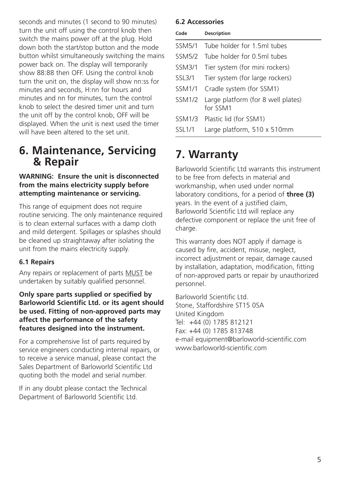seconds and minutes (1 second to 90 minutes) turn the unit off using the control knob then switch the mains power off at the plug. Hold down both the start/stop button and the mode button whilst simultaneously switching the mains power back on. The display will temporarily show 88:88 then OFF. Using the control knob turn the unit on, the display will show nn:ss for minutes and seconds, H:nn for hours and minutes and nn for minutes, turn the control knob to select the desired timer unit and turn the unit off by the control knob, OFF will be displayed. When the unit is next used the timer will have been altered to the set unit.

### **6. Maintenance, Servicing & Repair**

### **WARNING: Ensure the unit is disconnected from the mains electricity supply before attempting maintenance or servicing.**

This range of equipment does not require routine servicing. The only maintenance required is to clean external surfaces with a damp cloth and mild detergent. Spillages or splashes should be cleaned up straightaway after isolating the unit from the mains electricity supply.

### **6.1 Repairs**

Any repairs or replacement of parts MUST be undertaken by suitably qualified personnel.

**Only spare parts supplied or specified by Barloworld Scientific Ltd. or its agent should be used. Fitting of non-approved parts may affect the performance of the safety features designed into the instrument.**

For a comprehensive list of parts required by service engineers conducting internal repairs, or to receive a service manual, please contact the Sales Department of Barloworld Scientific Ltd quoting both the model and serial number.

If in any doubt please contact the Technical Department of Barloworld Scientific Ltd.

### **6.2 Accessories**

| Code          | Description                                    |
|---------------|------------------------------------------------|
| <b>SSM5/1</b> | Tube holder for 1 5ml tubes                    |
| <b>SSM5/2</b> | Tube holder for 0.5ml tubes                    |
| <b>SSM3/1</b> | Tier system (for mini rockers)                 |
| SSL3/1        | Tier system (for large rockers)                |
| <b>SSM1/1</b> | Cradle system (for SSM1)                       |
| <b>SSM1/2</b> | Large platform (for 8 well plates)<br>for SSM1 |
| <b>SSM1/3</b> | Plastic lid (for SSM1)                         |
| SSI 1/1       | Large platform, 510 x 510mm                    |

## **7. Warranty**

Barloworld Scientific Ltd warrants this instrument to be free from defects in material and workmanship, when used under normal laboratory conditions, for a period of **three (3)** years. In the event of a justified claim, Barloworld Scientific Ltd will replace any defective component or replace the unit free of charge.

This warranty does NOT apply if damage is caused by fire, accident, misuse, neglect, incorrect adjustment or repair, damage caused by installation, adaptation, modification, fitting of non-approved parts or repair by unauthorized personnel.

Barloworld Scientific Ltd. Stone, Staffordshire ST15 0SA United Kingdom Tel: +44 (0) 1785 812121 Fax: +44 (0) 1785 813748 e-mail equipment@barloworld-scientific.com www.barloworld-scientific.com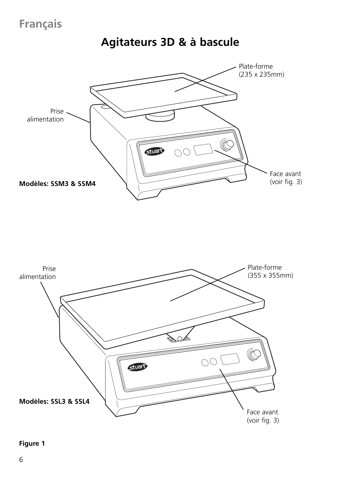## **Français**

**Agitateurs 3D & à bascule**





### **Figure 1**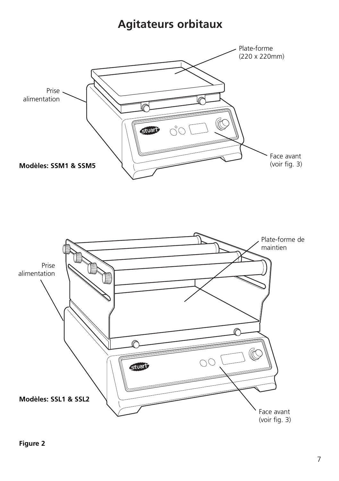## **Agitateurs orbitaux**



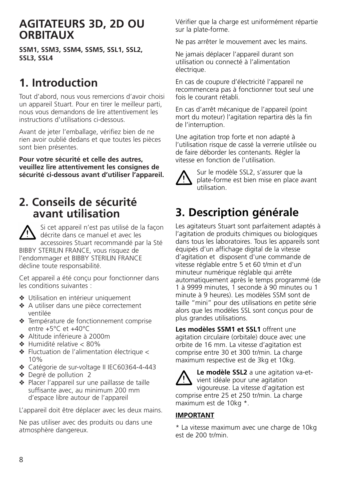### **AGITATEURS 3D, 2D OU ORBITAUX**

**SSM1, SSM3, SSM4, SSM5, SSL1, SSL2, SSL3, SSL4**

## **1. Introduction**

Tout d'abord, nous vous remercions d'avoir choisi un appareil Stuart. Pour en tirer le meilleur parti, nous vous demandons de lire attentivement les instructions d'utilisations ci-dessous.

Avant de jeter l'emballage, vérifiez bien de ne rien avoir oublié dedans et que toutes les pièces sont bien présentes.

**Pour votre sécurité et celle des autres, veuillez lire attentivement les consignes de sécurité ci-dessous avant d'utiliser l'appareil.**

### **2. Conseils de sécurité avant utilisation**

Si cet appareil n'est pas utilisé de la façon décrite dans ce manuel et avec les accessoires Stuart recommandé par la Sté BIBBY STERILIN FRANCE, vous risquez de l'endommager et BIBBY STERILIN FRANCE décline toute responsabilité.

Cet appareil a été conçu pour fonctionner dans les conditions suivantes :

- ❖ Utilisation en intérieur uniquement
- ❖ A utiliser dans une pièce correctement ventilée
- ❖ Température de fonctionnement comprise entre +5°C et +40°C
- ❖ Altitude inférieure à 2000m
- ❖ Humidité relative < 80%
- ❖ Fluctuation de l'alimentation électrique < 10%
- ❖ Catégorie de sur-voltage II IEC60364-4-443
- ❖ Degré de pollution 2
- ❖ Placer l'appareil sur une paillasse de taille suffisante avec, au minimum 200 mm d'espace libre autour de l'appareil

L'appareil doit être déplacer avec les deux mains.

Ne pas utiliser avec des produits ou dans une atmosphère dangereux.

Vérifier que la charge est uniformément répartie sur la plate-forme.

Ne pas arrêter le mouvement avec les mains.

Ne jamais déplacer l'appareil durant son utilisation ou connecté à l'alimentation électrique.

En cas de coupure d'électricité l'appareil ne recommencera pas à fonctionner tout seul une fois le courant rétabli.

En cas d'arrêt mécanique de l'appareil (point mort du moteur) l'agitation repartira dès la fin de l'interruption.

Une agitation trop forte et non adapté à l'utilisation risque de cassé la verrerie utilisée ou de faire déborder les contenants. Régler la vitesse en fonction de l'utilisation.



Sur le modèle SSL2, s'assurer que la plate-forme est bien mise en place avant utilisation.

# **3. Description générale**

Les agitateurs Stuart sont parfaitement adaptés à l'agitation de produits chimiques ou biologiques dans tous les laboratoires. Tous les appareils sont équipés d'un affichage digital de la vitesse d'agitation et disposent d'une commande de vitesse réglable entre 5 et 60 t/min et d'un minuteur numérique réglable qui arrête automatiquement après le temps programmé (de 1 à 9999 minutes, 1 seconde à 90 minutes ou 1 minute à 9 heures). Les modèles SSM sont de taille "mini" pour des utilisations en petite série alors que les modèles SSL sont conçus pour de plus grandes utilisations.

**Les modèles SSM1 et SSL1** offrent une agitation circulaire (orbitale) douce avec une orbite de 16 mm. La vitesse d'agitation est comprise entre 30 et 300 tr/min. La charge maximum respective est de 3kg et 10kg.



**Le modèle SSL2** a une agitation va-etvient idéale pour une agitation vigoureuse. La vitesse d'agitation est comprise entre 25 et 250 tr/min. La charge maximum est de 10kg \*.

### **IMPORTANT**

\* La vitesse maximum avec une charge de 10kg est de 200 tr/min.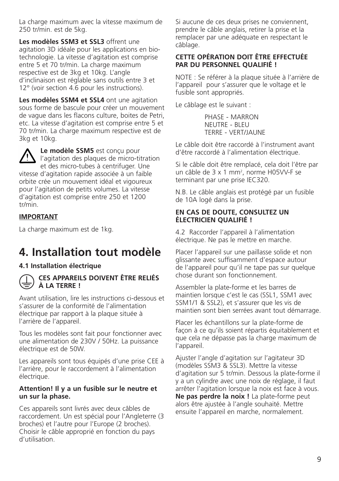La charge maximum avec la vitesse maximum de 250 tr/min. est de 5kg.

**Les modèles SSM3 et SSL3** offrent une agitation 3D idéale pour les applications en biotechnologie. La vitesse d'agitation est comprise entre 5 et 70 tr/min. La charge maximum respective est de 3kg et 10kg. L'angle d'inclinaison est réglable sans outils entre 3 et 12° (voir section 4.6 pour les instructions).

**Les modèles SSM4 et SSL4** ont une agitation sous forme de bascule pour créer un mouvement de vague dans les flacons culture, boites de Petri, etc. La vitesse d'agitation est comprise entre 5 et 70 tr/min. La charge maximum respective est de 3kg et 10kg.

**Le modèle SSM5** est conçu pour l'agitation des plaques de micro-titration et des micro-tubes à centrifuger. Une vitesse d'agitation rapide associée à un faible orbite crée un mouvement idéal et vigoureux pour l'agitation de petits volumes. La vitesse d'agitation est comprise entre 250 et 1200 tr/min.

### **IMPORTANT**

La charge maximum est de 1kg.

### **4. Installation tout modèle**

#### **4.1 Installation électrique**



### **CES APPAREILS DOIVENT ÊTRE RELIÉS À LA TERRE !**

Avant utilisation, lire les instructions ci-dessous et s'assurer de la conformité de l'alimentation électrique par rapport à la plaque située à l'arrière de l'appareil.

Tous les modèles sont fait pour fonctionner avec une alimentation de 230V / 50Hz. La puissance électrique est de 50W.

Les appareils sont tous équipés d'une prise CEE à l'arrière, pour le raccordement à l'alimentation électrique.

#### **Attention! Il y a un fusible sur le neutre et un sur la phase.**

Ces appareils sont livrés avec deux câbles de raccordement. Un est spécial pour l'Angleterre (3 broches) et l'autre pour l'Europe (2 broches). Choisir le câble approprié en fonction du pays d'utilisation.

Si aucune de ces deux prises ne conviennent, prendre le câble anglais, retirer la prise et la remplacer par une adéquate en respectant le câblage.

#### **CETTE OPÉRATION DOIT ÊTRE EFFECTUÉE PAR DU PERSONNEL QUALIFIÉ !**

NOTE : Se référer à la plaque située à l'arrière de l'appareil pour s'assurer que le voltage et le fusible sont appropriés.

Le câblage est le suivant :

PHASE - MARRON NEUTRE - BLEU TERRE - VERT/JAUNE

Le câble doit être raccordé à l'instrument avant d'être raccordé à l'alimentation électrique.

Si le câble doit être remplacé, cela doit l'être par un câble de 3 x 1 mm<sup>2</sup>, norme H05VV-F se terminant par une prise IEC320.

N.B. Le câble anglais est protégé par un fusible de 10A logé dans la prise.

#### **EN CAS DE DOUTE, CONSULTEZ UN ÉLECTRICIEN QUALIFIÉ !**

4.2 Raccorder l'appareil à l'alimentation électrique. Ne pas le mettre en marche.

Placer l'appareil sur une paillasse solide et non glissante avec suffisamment d'espace autour de l'appareil pour qu'il ne tape pas sur quelque chose durant son fonctionnement.

Assembler la plate-forme et les barres de maintien lorsque c'est le cas (SSL1, SSM1 avec SSM1/1 & SSL2), et s'assurer que les vis de maintien sont bien serrées avant tout démarrage.

Placer les échantillons sur la plate-forme de façon à ce qu'ils soient répartis équitablement et que cela ne dépasse pas la charge maximum de l'appareil.

Ajuster l'angle d'agitation sur l'agitateur 3D (modèles SSM3 & SSL3). Mettre la vitesse d'agitation sur 5 tr/min. Dessous la plate-forme il y a un cylindre avec une noix de réglage, il faut arrêter l'agitation lorsque la noix est face à vous. **Ne pas perdre la noix !** La plate-forme peut alors être ajustée à l'angle souhaité. Mettre ensuite l'appareil en marche, normalement.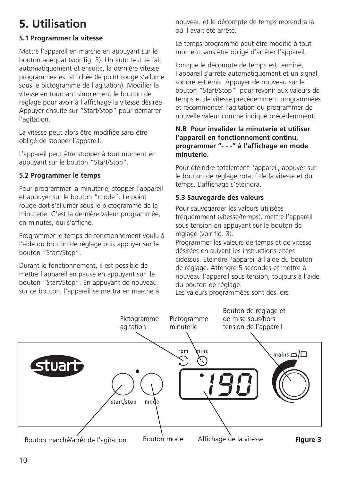# **5. Utilisation**

### **5.1 Programmer la vitesse**

Mettre l'appareil en marche en appuyant sur le bouton adéquat (voir fig. 3). Un auto test se fait automatiquement et ensuite, la dernière vitesse programmée est affichée (le point rouge s'allume sous le pictogramme de l'agitation). Modifier la vitesse en tournant simplement le bouton de réglage pour avoir à l'affichage la vitesse désirée. Appuyer ensuite sur "Start/Stop" pour démarrer l'agitation.

La vitesse peut alors être modifiée sans être obligé de stopper l'appareil.

L'appareil peut être stopper à tout moment en appuyant sur le bouton "Start/Stop".

### **5.2 Programmer le temps**

Pour programmer la minuterie, stopper l'appareil et appuyer sur le bouton "mode". Le point rouge doit s'allumer sous le pictogramme de la minuterie. C'est la dernière valeur programmée, en minutes, qui s'affiche.

Programmer le temps de fonctionnement voulu à l'aide du bouton de réglage puis appuyer sur le bouton "Start/Stop".

Durant le fonctionnement, il est possible de mettre l'appareil en pause en appuyant sur le bouton "Start/Stop". En appuyant de nouveau sur ce bouton, l'appareil se mettra en marche à

nouveau et le décompte de temps reprendra là où il avait été arrêté.

Le temps programmé peut être modifié à tout moment sans être obligé d'arrêter l'appareil.

Lorsque le décompte de temps est terminé, l'appareil s'arrête automatiquement et un signal sonore est émis. Appuyer de nouveau sur le bouton "Start/Stop" pour revenir aux valeurs de temps et de vitesse précédemment programmées et recommencer l'agitation ou programmer de nouvelle valeur comme indiqué précédemment.

### **N.B Pour invalider la minuterie et utiliser l'appareil en fonctionnement continu, programmer "- - -" à l'affichage en mode minuterie.**

Pour éteindre totalement l'appareil, appuyer sur le bouton de réglage rotatif de la vitesse et du temps. L'affichage s'éteindra.

### **5.3 Sauvegarde des valeurs**

Pour sauvegarder les valeurs utilisées fréquemment (vitesse/temps), mettre l'appareil sous tension en appuyant sur le bouton de réglage (voir fig. 3).

Programmer les valeurs de temps et de vitesse désirées en suivant les instructions citées cidessus. Eteindre l'appareil à l'aide du bouton de réglage. Attendre 5 secondes et mettre à nouveau l'appareil sous tension, toujours à l'aide du bouton de réglage.

Les valeurs programmées sont dès lors

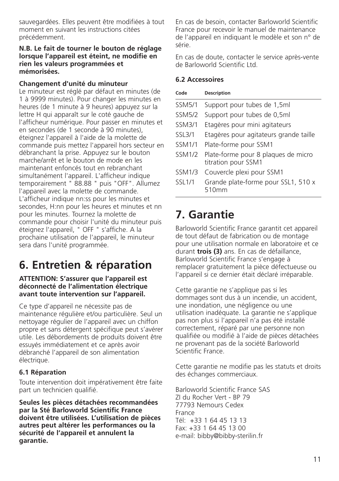sauvegardées. Elles peuvent être modifiées à tout moment en suivant les instructions citées précédemment.

#### **N.B. Le fait de tourner le bouton de réglage lorsque l'appareil est éteint, ne modifie en rien les valeurs programmées et mémorisées.**

#### **Changement d'unité du minuteur**

Le minuteur est réglé par défaut en minutes (de 1 à 9999 minutes). Pour changer les minutes en heures (de 1 minute à 9 heures) appuyez sur la lettre H qui apparaît sur le coté gauche de l'afficheur numérique. Pour passer en minutes et en secondes (de 1 seconde à 90 minutes), éteignez l'appareil à l'aide de la molette de commande puis mettez l'appareil hors secteur en débranchant la prise. Appuyez sur le bouton marche/arrêt et le bouton de mode en les maintenant enfoncés tout en rebranchant simultanément l'appareil. L'afficheur indique temporairement " 88.88 " puis "OFF". Allumez l'appareil avec la molette de commande. L'afficheur indique nn:ss pour les minutes et secondes, H:nn pour les heures et minutes et nn pour les minutes. Tournez la molette de commande pour choisir l'unité du minuteur puis éteignez l'appareil, " OFF " s'affiche. A la prochaine utilisation de l'appareil, le minuteur sera dans l'unité programmée.

## **6. Entretien & réparation**

#### **ATTENTION: S'assurer que l'appareil est déconnecté de l'alimentation électrique avant toute intervention sur l'appareil.**

Ce type d'appareil ne nécessite pas de maintenance régulière et/ou particulière. Seul un nettoyage régulier de l'appareil avec un chiffon propre et sans détergent spécifique peut s'avérer utile. Les débordements de produits doivent être essuyés immédiatement et ce après avoir débranché l'appareil de son alimentation électrique.

### **6.1 Réparation**

Toute intervention doit impérativement être faite part un technicien qualifié.

**Seules les pièces détachées recommandées par la Sté Barloworld Scientific France doivent être utilisées. L'utilisation de pièces autres peut altérer les performances ou la sécurité de l'appareil et annulent la garantie.** 

En cas de besoin, contacter Barloworld Scientific France pour recevoir le manuel de maintenance de l'appareil en indiquant le modèle et son n° de série.

En cas de doute, contacter le service après-vente de Barloworld Scientific Ltd.

#### **6.2 Accessoires**

| Code          | <b>Description</b>                                         |
|---------------|------------------------------------------------------------|
| <b>SSM5/1</b> | Support pour tubes de 1,5ml                                |
| <b>SSM5/2</b> | Support pour tubes de 0,5ml                                |
| <b>SSM3/1</b> | Etagères pour mini agitateurs                              |
| SSL3/1        | Etagères pour agitateurs grande taille                     |
| <b>SSM1/1</b> | Plate-forme pour SSM1                                      |
| <b>SSM1/2</b> | Plate-forme pour 8 plaques de micro<br>titration pour SSM1 |
| <b>SSM1/3</b> | Couvercle plexi pour SSM1                                  |
| <b>SSL1/1</b> | Grande plate-forme pour SSL1, 510 x<br>510mm               |

### **7. Garantie**

Barloworld Scientific France garantit cet appareil de tout défaut de fabrication ou de montage pour une utilisation normale en laboratoire et ce durant **trois (3)** ans. En cas de défaillance, Barloworld Scientific France s'engage à remplacer gratuitement la pièce défectueuse ou l'appareil si ce dernier était déclaré irréparable.

Cette garantie ne s'applique pas si les dommages sont dus à un incendie, un accident, une inondation, une négligence ou une utilisation inadéquate. La garantie ne s'applique pas non plus si l'appareil n'a pas été installé correctement, réparé par une personne non qualifiée ou modifié à l'aide de pièces détachées ne provenant pas de la société Barloworld Scientific France.

Cette garantie ne modifie pas les statuts et droits des échanges commerciaux.

Barloworld Scientific France SAS ZI du Rocher Vert - BP 79 77793 Nemours Cedex France Tél: +33 1 64 45 13 13 Fax: +33 1 64 45 13 00 e-mail: bibby@bibby-sterilin.fr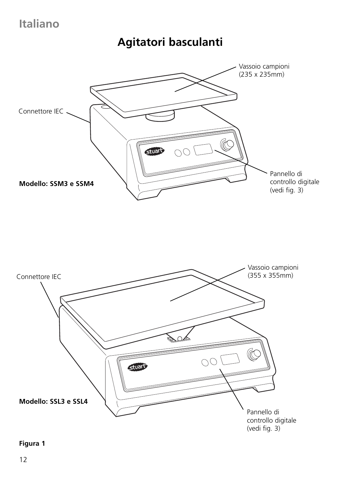## **Italiano**

## **Agitatori basculanti**





### **Figura 1**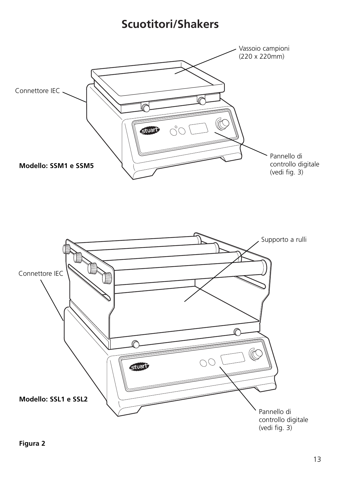## **Scuotitori/Shakers**





**Figura 2**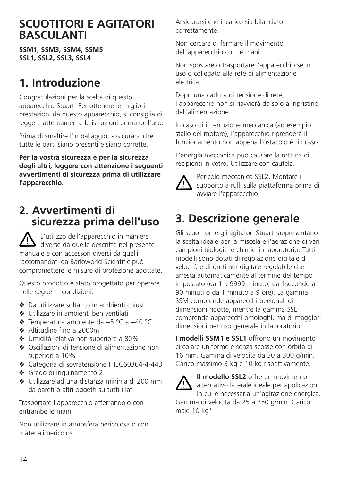### **SCUOTITORI E AGITATORI BASCULANTI**

**SSM1, SSM3, SSM4, SSM5 SSL1, SSL2, SSL3, SSL4**

## **1. Introduzione**

Congratulazioni per la scelta di questo apparecchio Stuart. Per ottenere le migliori prestazioni da questo apparecchio, si consiglia di leggere attentamente le istruzioni prima dell'uso.

Prima di smaltire l'imballaggio, assicurarsi che tutte le parti siano presenti e siano corrette.

**Per la vostra sicurezza e per la sicurezza degli altri, leggere con attenzione i seguenti avvertimenti di sicurezza prima di utilizzare l'apparecchio.**

### **2. Avvertimenti di sicurezza prima dell'uso**

L'utilizzo dell'apparecchio in maniere diverse da quelle descritte nel presente manuale e con accessori diversi da quelli raccomandati da Barloworld Scientific può compromettere le misure di protezione adottate.

Questo prodotto è stato progettato per operare nelle seguenti condizioni: -

- ❖ Da utilizzare soltanto in ambienti chiusi
- ❖ Utilizzare in ambienti ben ventilati
- ❖ Temperatura ambiente da +5 °C a +40 °C
- ❖ Altitudine fino a 2000m
- ❖ Umidità relativa non superiore a 80%
- ❖ Oscillazioni di tensione di alimentazione non superiori a 10%
- ❖ Categoria di sovratensione II IEC60364-4-443
- ❖ Grado di inquinamento 2
- ❖ Utilizzare ad una distanza minima di 200 mm da pareti o altri oggetti su tutti i lati

Trasportare l'apparecchio afferrandolo con entrambe le mani.

Non utilizzare in atmosfera pericolosa o con materiali pericolosi.

Assicurarsi che il carico sia bilanciato correttamente.

Non cercare di fermare il movimento dell'apparecchio con le mani.

Non spostare o trasportare l'apparecchio se in uso o collegato alla rete di alimentazione elettrica.

Dopo una caduta di tensione di rete, l'apparecchio non si riavvierà da solo al ripristino dell'alimentazione.

In caso di interruzione meccanica (ad esempio stallo del motore), l'apparecchio riprenderà il funzionamento non appena l'ostacolo è rimosso.

L'energia meccanica può causare la rottura di recipienti in vetro. Utilizzare con cautela.



Pericolo meccanico SSL2. Montare il supporto a rulli sulla piattaforma prima di avviare l'apparecchio

# **3. Descrizione generale**

Gli scuotitori e gli agitatori Stuart rappresentano la scelta ideale per la miscela e l'aerazione di vari campioni biologici e chimici in laboratorio. Tutti i modelli sono dotati di regolazione digitale di velocità e di un timer digitale regolabile che arresta automaticamente al termine del tempo impostato (da 1 a 9999 minuto, da 1secondo a 90 minuti o da 1 minuto a 9 ore). La gamma SSM comprende apparecchi personali di dimensioni ridotte, mentre la gamma SSL comprende apparecchi omologhi, ma di maggiori dimensioni per uso generale in laboratorio.

**I modelli SSM1 e SSL1** offrono un movimento circolare uniforme e senza scosse con orbita di 16 mm. Gamma di velocità da 30 a 300 g/min. Carico massimo 3 kg e 10 kg rispettivamente.



**Il modello SSL2** offre un movimento alternativo laterale ideale per applicazioni in cui è necessaria un'agitazione energica.

Gamma di velocità da 25 a 250 g/min. Carico max: 10 kg\*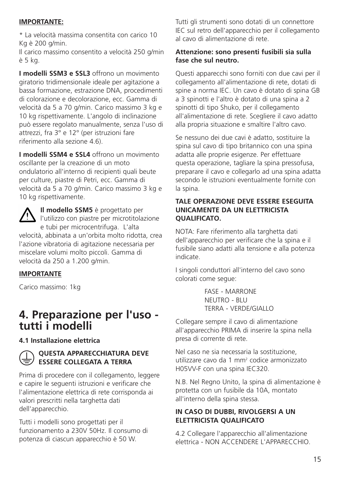### **IMPORTANTE:**

\* La velocità massima consentita con carico 10 Kg è 200 g/min.

Il carico massimo consentito a velocità 250 g/min è 5 kg.

**I modelli SSM3 e SSL3** offrono un movimento giratorio tridimensionale ideale per agitazione a bassa formazione, estrazione DNA, procedimenti di colorazione e decolorazione, ecc. Gamma di velocità da 5 a 70 g/min. Carico massimo 3 kg e 10 kg rispettivamente. L'angolo di inclinazione può essere regolato manualmente, senza l'uso di attrezzi, fra 3° e 12° (per istruzioni fare riferimento alla sezione 4.6).

**I modelli SSM4 e SSL4** offrono un movimento oscillante per la creazione di un moto ondulatorio all'interno di recipienti quali beute per culture, piastre di Petri, ecc. Gamma di velocità da 5 a 70 g/min. Carico massimo 3 kg e 10 kg rispettivamente.

**Il modello SSM5** è progettato per l'utilizzo con piastre per microtitolazione e tubi per microcentrifuga. L'alta

velocità, abbinata a un'orbita molto ridotta, crea l'azione vibratoria di agitazione necessaria per miscelare volumi molto piccoli. Gamma di velocità da 250 a 1.200 g/min.

### **IMPORTANTE**

Carico massimo: 1kg

### **4. Preparazione per l'uso tutti i modelli**

### **4.1 Installazione elettrica**

### **QUESTA APPARECCHIATURA DEVE ESSERE COLLEGATA A TERRA**

Prima di procedere con il collegamento, leggere e capire le seguenti istruzioni e verificare che l'alimentazione elettrica di rete corrisponda ai valori prescritti nella targhetta dati dell'apparecchio.

Tutti i modelli sono progettati per il funzionamento a 230V 50Hz. Il consumo di potenza di ciascun apparecchio è 50 W.

Tutti gli strumenti sono dotati di un connettore IEC sul retro dell'apparecchio per il collegamento al cavo di alimentazione di rete.

### **Attenzione: sono presenti fusibili sia sulla fase che sul neutro.**

Questi apparecchi sono forniti con due cavi per il collegamento all'alimentazione di rete, dotati di spine a norma IEC. Un cavo è dotato di spina GB a 3 spinotti e l'altro è dotato di una spina a 2 spinotti di tipo Shuko, per il collegamento all'alimentazione di rete. Scegliere il cavo adatto alla propria situazione e smaltire l'altro cavo.

Se nessuno dei due cavi è adatto, sostituire la spina sul cavo di tipo britannico con una spina adatta alle proprie esigenze. Per effettuare questa operazione, tagliare la spina pressofusa, preparare il cavo e collegarlo ad una spina adatta secondo le istruzioni eventualmente fornite con la spina.

#### **TALE OPERAZIONE DEVE ESSERE ESEGUITA UNICAMENTE DA UN ELETTRICISTA QUALIFICATO.**

NOTA: Fare riferimento alla targhetta dati dell'apparecchio per verificare che la spina e il fusibile siano adatti alla tensione e alla potenza indicate.

I singoli conduttori all'interno del cavo sono colorati come segue:

> FASE - MARRONE NEUTRO - BLU TERRA - VERDE/GIALLO

Collegare sempre il cavo di alimentazione all'apparecchio PRIMA di inserire la spina nella presa di corrente di rete.

Nel caso ne sia necessaria la sostituzione, utilizzare cavo da 1 mm2 codice armonizzato H05VV-F con una spina IEC320.

N.B. Nel Regno Unito, la spina di alimentazione è protetta con un fusibile da 10A, montato all'interno della spina stessa.

### **IN CASO DI DUBBI, RIVOLGERSI A UN ELETTRICISTA QUALIFICATO**

4.2 Collegare l'apparecchio all'alimentazione elettrica - NON ACCENDERE L'APPARECCHIO.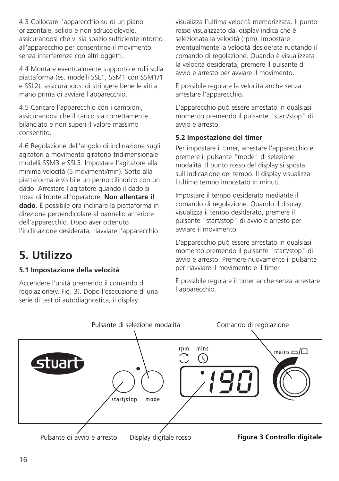4.3 Collocare l'apparecchio su di un piano orizzontale, solido e non sdrucciolevole, assicurandosi che vi sia spazio sufficiente intorno all'apparecchio per consentirne il movimento senza interferenze con altri oggetti.

4.4 Montare eventualmente supporto e rulli sulla piattaforma (es. modelli SSL1, SSM1 con SSM1/1 e SSL2), assicurandosi di stringere bene le viti a mano prima di avviare l'apparecchio.

4.5 Caricare l'apparecchio con i campioni, assicurandosi che il carico sia correttamente bilanciato e non superi il valore massimo consentito.

4.6 Regolazione dell'angolo di inclinazione sugli agitatori a movimento giratorio tridimensionale modelli SSM3 e SSL3. Impostare l'agitatore alla minima velocità (5 movimenti/min). Sotto alla piattaforma è visibile un perno cilindrico con un dado. Arrestare l'agitatore quando il dado si trova di fronte all'operatore. **Non allentare il dado**. È possibile ora inclinare la piattaforma in direzione perpendicolare al pannello anteriore dell'apparecchio. Dopo aver ottenuto l'inclinazione desiderata, riavviare l'apparecchio.

## **5. Utilizzo**

### **5.1 Impostazione della velocità**

Accendere l'unità premendo il comando di regolazione(v. Fig. 3). Dopo l'esecuzione di una serie di test di autodiagnostica, il display

visualizza l'ultima velocità memorizzata. Il punto rosso visualizzato dal display indica che è selezionata la velocità (rpm). Impostare eventualmente la velocità desiderata ruotando il comando di regolazione. Quando è visualizzata la velocità desiderata, premere il pulsante di avvio e arresto per avviare il movimento.

È possibile regolare la velocità anche senza arrestare l'apparecchio.

L'apparecchio può essere arrestato in qualsiasi momento premendo il pulsante "start/stop" di avvio e arresto.

### **5.2 Impostazione del timer**

Per impostare il timer, arrestare l'apparecchio e premere il pulsante "mode" di selezione modalità. Il punto rosso del display si sposta sull'indicazione del tempo. Il display visualizza l'ultimo tempo impostato in minuti.

Impostare il tempo desiderato mediante il comando di regolazione. Quando il display visualizza il tempo desiderato, premere il pulsante "start/stop" di avvio e arresto per avviare il movimento.

L'apparecchio può essere arrestato in qualsiasi momento premendo il pulsante "start/stop" di avvio e arresto. Premere nuovamente il pulsante per riavviare il movimento e il timer.

È possibile regolare il timer anche senza arrestare l'apparecchio.

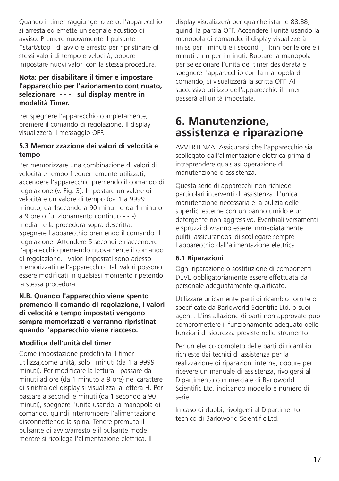Quando il timer raggiunge lo zero, l'apparecchio si arresta ed emette un segnale acustico di avviso. Premere nuovamente il pulsante "start/stop" di avvio e arresto per ripristinare gli stessi valori di tempo e velocità, oppure impostare nuovi valori con la stessa procedura.

### **Nota: per disabilitare il timer e impostare l'apparecchio per l'azionamento continuato, selezionare - - - sul display mentre in modalità Timer.**

Per spegnere l'apparecchio completamente, premere il comando di regolazione. Il display visualizzerà il messaggio OFF.

### **5.3 Memorizzazione dei valori di velocità e tempo**

Per memorizzare una combinazione di valori di velocità e tempo frequentemente utilizzati, accendere l'apparecchio premendo il comando di regolazione (v. Fig. 3). Impostare un valore di velocità e un valore di tempo (da 1 a 9999 minuto, da 1secondo a 90 minuti o da 1 minuto a 9 ore o funzionamento continuo - - -) mediante la procedura sopra descritta. Spegnere l'apparecchio premendo il comando di regolazione. Attendere 5 secondi e riaccendere l'apparecchio premendo nuovamente il comando di regolazione. I valori impostati sono adesso memorizzati nell'apparecchio. Tali valori possono essere modificati in qualsiasi momento ripetendo la stessa procedura.

#### **N.B. Quando l'apparecchio viene spento premendo il comando di regolazione, i valori di velocità e tempo impostati vengono sempre memorizzati e verranno ripristinati quando l'apparecchio viene riacceso.**

### **Modifica dell'unità del timer**

Come impostazione predefinita il timer utilizza,come unità, solo i minuti (da 1 a 9999 minuti). Per modificare la lettura :-passare da minuti ad ore (da 1 minuto a 9 ore) nel carattere di sinistra del display si visualizza la lettera H. Per passare a secondi e minuti (da 1 secondo a 90 minuti), spegnere l'unità usando la manopola di comando, quindi interrompere l'alimentazione disconnettendo la spina. Tenere premuto il pulsante di avvio/arresto e il pulsante mode mentre si ricollega l'alimentazione elettrica. Il

display visualizzerà per qualche istante 88:88, quindi la parola OFF. Accendere l'unità usando la manopola di comando: il display visualizzerà nn:ss per i minuti e i secondi ; H:nn per le ore e i minuti e nn per i minuti. Ruotare la manopola per selezionare l'unità del timer desiderata e spegnere l'apparecchio con la manopola di comando; si visualizzerà la scritta OFF. Al successivo utilizzo dell'apparecchio il timer passerà all'unità impostata.

### **6. Manutenzione, assistenza e riparazione**

AVVERTENZA: Assicurarsi che l'apparecchio sia scollegato dall'alimentazione elettrica prima di intraprendere qualsiasi operazione di manutenzione o assistenza.

Questa serie di apparecchi non richiede particolari interventi di assistenza. L'unica manutenzione necessaria è la pulizia delle superfici esterne con un panno umido e un detergente non aggressivo. Eventuali versamenti e spruzzi dovranno essere immediatamente puliti, assicurandosi di scollegare sempre l'apparecchio dall'alimentazione elettrica.

### **6.1 Riparazioni**

Ogni riparazione o sostituzione di componenti DEVE obbligatoriamente essere effettuata da personale adeguatamente qualificato.

Utilizzare unicamente parti di ricambio fornite o specificate da Barloworld Scientific Ltd. o suoi agenti. L'installazione di parti non approvate può compromettere il funzionamento adeguato delle funzioni di sicurezza previste nello strumento.

Per un elenco completo delle parti di ricambio richieste dai tecnici di assistenza per la realizzazione di riparazioni interne, oppure per ricevere un manuale di assistenza, rivolgersi al Dipartimento commerciale di Barloworld Scientific Ltd. indicando modello e numero di serie.

In caso di dubbi, rivolgersi al Dipartimento tecnico di Barloworld Scientific Ltd.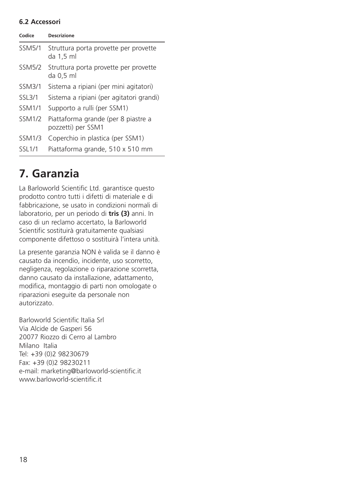### **6.2 Accessori**

| Codice        | <b>Descrizione</b>                                          |
|---------------|-------------------------------------------------------------|
| <b>SSM5/1</b> | Struttura porta provette per provette<br>da 1.5 ml          |
| <b>SSM5/2</b> | Struttura porta provette per provette<br>da 0 <i>.</i> 5 ml |
| <b>SSM3/1</b> | Sistema a ripiani (per mini agitatori)                      |
| SSL3/1        | Sistema a ripiani (per agitatori grandi)                    |
| <b>SSM1/1</b> | Supporto a rulli (per SSM1)                                 |
| <b>SSM1/2</b> | Piattaforma grande (per 8 piastre a<br>pozzetti) per SSM1   |
| <b>SSM1/3</b> | Coperchio in plastica (per SSM1)                            |
| <b>SSL1/1</b> | Piattaforma grande, 510 x 510 mm                            |

## **7. Garanzia**

La Barloworld Scientific Ltd. garantisce questo prodotto contro tutti i difetti di materiale e di fabbricazione, se usato in condizioni normali di laboratorio, per un periodo di **tris (3)** anni. In caso di un reclamo accertato, la Barloworld Scientific sostituirà gratuitamente qualsiasi componente difettoso o sostituirà l'intera unità.

La presente garanzia NON è valida se il danno è causato da incendio, incidente, uso scorretto, negligenza, regolazione o riparazione scorretta, danno causato da installazione, adattamento, modifica, montaggio di parti non omologate o riparazioni eseguite da personale non autorizzato.

Barloworld Scientific Italia Srl Via Alcide de Gasperi 56 20077 Riozzo di Cerro al Lambro Milano Italia Tel: +39 (0)2 98230679 Fax: +39 (0)2 98230211 e-mail: marketing@barloworld-scientific.it www.barloworld-scientific.it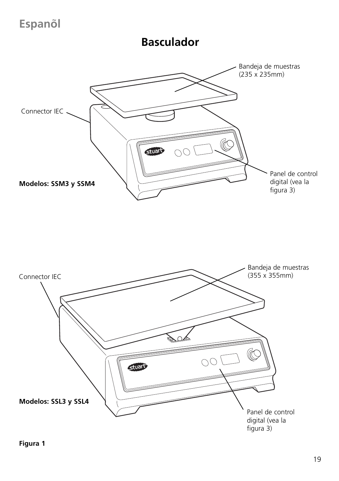# **Espanol ~**

### **Basculador**



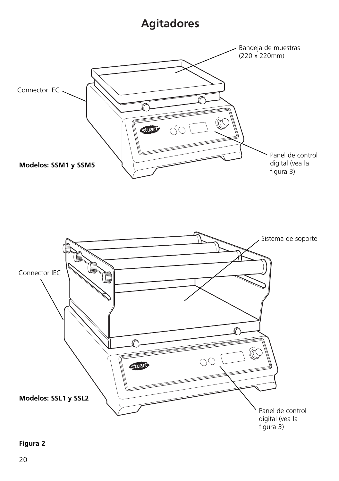## **Agitadores**





### **Figura 2**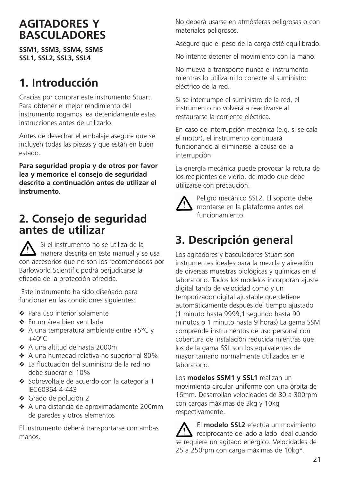### **AGITADORES Y BASCULADORES**

**SSM1, SSM3, SSM4, SSM5 SSL1, SSL2, SSL3, SSL4**

## **1. Introducción**

Gracias por comprar este instrumento Stuart. Para obtener el mejor rendimiento del instrumento rogamos lea detenidamente estas instrucciones antes de utilizarlo.

Antes de desechar el embalaje asegure que se incluyen todas las piezas y que están en buen estado.

**Para seguridad propia y de otros por favor lea y memorice el consejo de seguridad descrito a continuación antes de utilizar el instrumento.**

### **2. Consejo de seguridad antes de utilizar**

Si el instrumento no se utiliza de la manera descrita en este manual y se usa con accesorios que no son los recomendados por Barloworld Scientific podrá perjudicarse la eficacia de la protección ofrecida.

Este instrumento ha sido diseñado para funcionar en las condiciones siguientes:

- ❖ Para uso interior solamente
- ❖ En un área bien ventilada
- ❖ A una temperatura ambiente entre +5°C y  $+40^{\circ}$ C
- ❖ A una altitud de hasta 2000m
- ❖ A una humedad relativa no superior al 80%
- ❖ La fluctuación del suministro de la red no debe superar el 10%
- ❖ Sobrevoltaje de acuerdo con la categoría II IEC60364-4-443
- ❖ Grado de polución 2
- ❖ A una distancia de aproximadamente 200mm de paredes y otros elementos

El instrumento deberá transportarse con ambas manos.

No deberá usarse en atmósferas peligrosas o con materiales peligrosos.

Asegure que el peso de la carga esté equilibrado.

No intente detener el movimiento con la mano.

No mueva o transporte nunca el instrumento mientras lo utiliza ni lo conecte al suministro eléctrico de la red.

Si se interrumpe el suministro de la red, el instrumento no volverá a reactivarse al restaurarse la corriente eléctrica.

En caso de interrupción mecánica (e.g. si se cala el motor), el instrumento continuará funcionando al eliminarse la causa de la interrupción.

La energía mecánica puede provocar la rotura de los recipientes de vidrio, de modo que debe utilizarse con precaución.



Peligro mecánico SSL2. El soporte debe montarse en la plataforma antes del funcionamiento.

## **3. Descripción general**

Los agitadores y basculadores Stuart son instrumentes ideales para la mezcla y aireación de diversas muestras biológicas y químicas en el laboratorio. Todos los modelos incorporan ajuste digital tanto de velocidad como y un temporizador digital ajustable que detiene automáticamente después del tiempo ajustado (1 minuto hasta 9999,1 segundo hasta 90 minutos o 1 minuto hasta 9 horas) La gama SSM comprende instrumentos de uso personal con cobertura de instalación reducida mientras que los de la gama SSL son los equivalentes de mayor tamaño normalmente utilizados en el laboratorio.

Los **modelos SSM1 y SSL1** realizan un movimiento circular uniforme con una órbita de 16mm. Desarrollan velocidades de 30 a 300rpm con cargas máximas de 3kg y 10kg respectivamente.

El **modelo SSL2** efectúa un movimiento reciprocante de lado a lado ideal cuando se requiere un agitado enérgico. Velocidades de 25 a 250rpm con carga máximas de 10kg\*.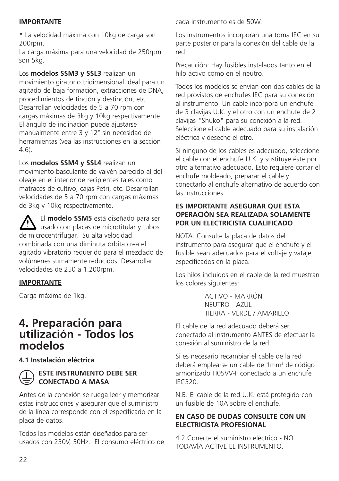### **IMPORTANTE**

\* La velocidad máxima con 10kg de carga son 200rpm.

La carga máxima para una velocidad de 250rpm son 5kg.

Los **modelos SSM3 y SSL3** realizan un movimiento giratorio tridimensional ideal para un agitado de baja formación, extracciones de DNA, procedimientos de tinción y destinción, etc. Desarrollan velocidades de 5 a 70 rpm con cargas máximas de 3kg y 10kg respectivamente. El ángulo de inclinación puede ajustarse manualmente entre 3 y 12° sin necesidad de herramientas (vea las instrucciones en la sección 4.6).

Los **modelos SSM4 y SSL4** realizan un movimiento basculante de vaivén parecido al del oleaje en el interior de recipientes tales como matraces de cultivo, cajas Petri, etc. Desarrollan velocidades de 5 a 70 rpm con cargas máximas de 3kg y 10kg respectivamente.

El **modelo SSM5** está diseñado para ser  $\sum$  usado con placas de microtitular y tubos de microcentrifugar. Su alta velocidad combinada con una diminuta órbita crea el agitado vibratorio requerido para el mezclado de volúmenes sumamente reducidos. Desarrollan velocidades de 250 a 1.200rpm.

### **IMPORTANTE**

Carga máxima de 1kg.

### **4. Preparación para utilización - Todos los modelos**

**4.1 Instalación eléctrica**



### **ESTE INSTRUMENTO DEBE SER CONECTADO A MASA**

Antes de la conexión se ruega leer y memorizar estas instrucciones y asegurar que el suministro de la línea corresponde con el especificado en la placa de datos.

Todos los modelos están diseñados para ser usados con 230V, 50Hz. El consumo eléctrico de cada instrumento es de 50W.

Los instrumentos incorporan una toma IEC en su parte posterior para la conexión del cable de la red.

Precaución: Hay fusibles instalados tanto en el hilo activo como en el neutro.

Todos los modelos se envían con dos cables de la red provistos de enchufes IEC para su conexión al instrumento. Un cable incorpora un enchufe de 3 clavijas U.K. y el otro con un enchufe de 2 clavijas "Shuko" para su conexión a la red. Seleccione el cable adecuado para su instalación eléctrica y deseche el otro.

Si ninguno de los cables es adecuado, seleccione el cable con el enchufe U.K. y sustituye éste por otro alternativo adecuado. Esto requiere cortar el enchufe moldeado, preparar el cable y conectarlo al enchufe alternativo de acuerdo con las instrucciones.

### **ES IMPORTANTE ASEGURAR QUE ESTA OPERACIÓN SEA REALIZADA SOLAMENTE POR UN ELECTRICISTA CUALIFICADO**

NOTA: Consulte la placa de datos del instrumento para asegurar que el enchufe y el fusible sean adecuados para el voltaje y vataje especificados en la placa.

Los hilos incluidos en el cable de la red muestran los colores siguientes:

> ACTIVO - MARRÓN NEUTRO - AZUL TIERRA - VERDE / AMARILLO

El cable de la red adecuado deberá ser conectado al instrumento ANTES de efectuar la conexión al suministro de la red.

Si es necesario recambiar el cable de la red deberá emplearse un cable de 1mm2 de código armonizado H05VV-F conectado a un enchufe IEC320.

N.B. El cable de la red U.K. está protegido con un fusible de 10A sobre el enchufe.

### **EN CASO DE DUDAS CONSULTE CON UN ELECTRICISTA PROFESIONAL**

4.2 Conecte el suministro eléctrico - NO TODAVÍA ACTIVE EL INSTRUMENTO.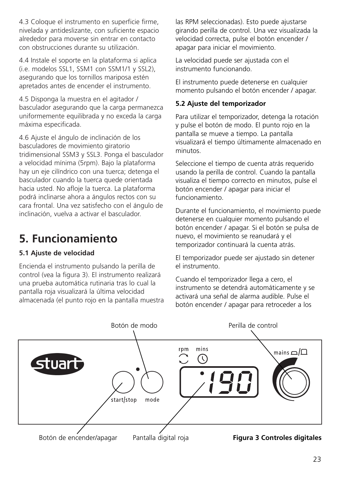4.3 Coloque el instrumento en superficie firme, nivelada y antideslizante, con suficiente espacio alrededor para moverse sin entrar en contacto con obstrucciones durante su utilización.

4.4 Instale el soporte en la plataforma si aplica (i.e. modelos SSL1, SSM1 con SSM1/1 y SSL2), asegurando que los tornillos mariposa estén apretados antes de encender el instrumento.

4.5 Disponga la muestra en el agitador / basculador asegurando que la carga permanezca uniformemente equilibrada y no exceda la carga máxima especificada.

4.6 Ajuste el ángulo de inclinación de los basculadores de movimiento giratorio tridimensional SSM3 y SSL3. Ponga el basculador a velocidad mínima (5rpm). Bajo la plataforma hay un eje cilíndrico con una tuerca; detenga el basculador cuando la tuerca quede orientada hacia usted. No afloje la tuerca. La plataforma podrá inclinarse ahora a ángulos rectos con su cara frontal. Una vez satisfecho con el ángulo de inclinación, vuelva a activar el basculador.

# **5. Funcionamiento**

### **5.1 Ajuste de velocidad**

Encienda el instrumento pulsando la perilla de control (vea la figura 3). El instrumento realizará una prueba automática rutinaria tras lo cual la pantalla roja visualizará la última velocidad almacenada (el punto rojo en la pantalla muestra las RPM seleccionadas). Esto puede ajustarse girando perilla de control. Una vez visualizada la velocidad correcta, pulse el botón encender / apagar para iniciar el movimiento.

La velocidad puede ser ajustada con el instrumento funcionando.

El instrumento puede detenerse en cualquier momento pulsando el botón encender / apagar.

### **5.2 Ajuste del temporizador**

Para utilizar el temporizador, detenga la rotación y pulse el botón de modo. El punto rojo en la pantalla se mueve a tiempo. La pantalla visualizará el tiempo últimamente almacenado en minutos.

Seleccione el tiempo de cuenta atrás requerido usando la perilla de control. Cuando la pantalla visualiza el tiempo correcto en minutos, pulse el botón encender / apagar para iniciar el funcionamiento.

Durante el funcionamiento, el movimiento puede detenerse en cualquier momento pulsando el botón encender / apagar. Si el botón se pulsa de nuevo, el movimiento se reanudará y el temporizador continuará la cuenta atrás.

El temporizador puede ser ajustado sin detener el instrumento.

Cuando el temporizador llega a cero, el instrumento se detendrá automáticamente y se activará una señal de alarma audible. Pulse el botón encender / apagar para retroceder a los

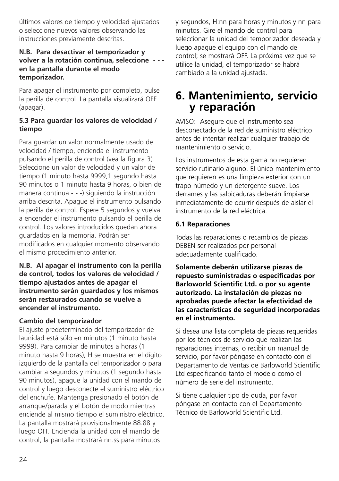últimos valores de tiempo y velocidad ajustados o seleccione nuevos valores observando las instrucciones previamente descritas.

### **N.B. Para desactivar el temporizador y volver a la rotación continua, seleccione - - en la pantalla durante el modo temporizador.**

Para apagar el instrumento por completo, pulse la perilla de control. La pantalla visualizará OFF (apagar).

### **5.3 Para guardar los valores de velocidad / tiempo**

Para guardar un valor normalmente usado de velocidad / tiempo, encienda el instrumento pulsando el perilla de control (vea la figura 3). Seleccione un valor de velocidad y un valor de tiempo (1 minuto hasta 9999,1 segundo hasta 90 minutos o 1 minuto hasta 9 horas, o bien de manera continua - - -) siguiendo la instrucción arriba descrita. Apague el instrumento pulsando la perilla de control. Espere 5 segundos y vuelva a encender el instrumento pulsando el perilla de control. Los valores introducidos quedan ahora guardados en la memoria. Podrán ser modificados en cualquier momento observando el mismo procedimiento anterior.

### **N.B. Al apagar el instrumento con la perilla de control, todos los valores de velocidad / tiempo ajustados antes de apagar el instrumento serán guardados y los mismos serán restaurados cuando se vuelve a encender el instrumento.**

### **Cambio del temporizador**

El ajuste predeterminado del temporizador de launidad está sólo en minutos (1 minuto hasta 9999). Para cambiar de minutos a horas (1 minuto hasta 9 horas), H se muestra en el dígito izquierdo de la pantalla del temporizador o para cambiar a segundos y minutos (1 segundo hasta 90 minutos), apague la unidad con el mando de control y luego desconecte el suministro eléctrico del enchufe. Mantenga presionado el botón de arranque/parada y el botón de modo mientras enciende al mismo tiempo el suministro eléctrico. La pantalla mostrará provisionalmente 88:88 y luego OFF. Encienda la unidad con el mando de control; la pantalla mostrará nn:ss para minutos

y segundos, H:nn para horas y minutos y nn para minutos. Gire el mando de control para seleccionar la unidad del temporizador deseada y luego apague el equipo con el mando de control; se mostrará OFF. La próxima vez que se utilice la unidad, el temporizador se habrá cambiado a la unidad ajustada.

### **6. Mantenimiento, servicio y reparación**

AVISO: Asegure que el instrumento sea desconectado de la red de suministro eléctrico antes de intentar realizar cualquier trabajo de mantenimiento o servicio.

Los instrumentos de esta gama no requieren servicio rutinario alguno. El único mantenimiento que requieren es una limpieza exterior con un trapo húmedo y un detergente suave. Los derrames y las salpicaduras deberán limpiarse inmediatamente de ocurrir después de aislar el instrumento de la red eléctrica.

### **6.1 Reparaciones**

Todas las reparaciones o recambios de piezas DEBEN ser realizados por personal adecuadamente cualificado.

**Solamente deberán utilizarse piezas de repuesto suministradas o especificadas por Barloworld Scientific Ltd. o por su agente autorizado. La instalación de piezas no aprobadas puede afectar la efectividad de las características de seguridad incorporadas en el instrumento.**

Si desea una lista completa de piezas requeridas por los técnicos de servicio que realizan las reparaciones internas, o recibir un manual de servicio, por favor póngase en contacto con el Departamento de Ventas de Barloworld Scientific Ltd especificando tanto el modelo como el número de serie del instrumento.

Si tiene cualquier tipo de duda, por favor póngase en contacto con el Departamento Técnico de Barloworld Scientific Ltd.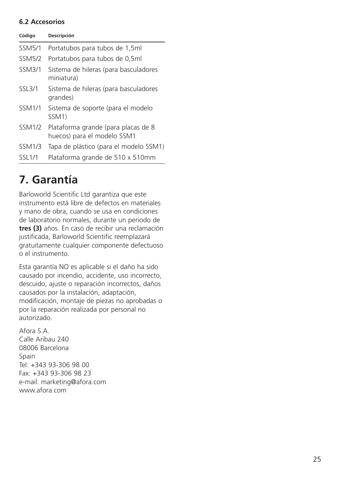### **6.2 Accesorios**

| Código        | Descripción                                                        |
|---------------|--------------------------------------------------------------------|
| <b>SSM5/1</b> | Portatubos para tubos de 1,5ml                                     |
| <b>SSM5/2</b> | Portatubos para tubos de 0,5ml                                     |
| <b>SSM3/1</b> | Sistema de hileras (para basculadores<br>miniatura)                |
| SSL3/1        | Sistema de hileras (para basculadores<br>grandes)                  |
| <b>SSM1/1</b> | Sistema de soporte (para el modelo<br>SSM <sub>1</sub> )           |
| <b>SSM1/2</b> | Plataforma grande (para placas de 8<br>huecos) para el modelo SSM1 |
| <b>SSM1/3</b> | Tapa de plástico (para el modelo SSM1)                             |
| SSL1/1        | Plataforma grande de 510 x 510mm                                   |

## **7. Garantía**

Barloworld Scientific Ltd garantiza que este instrumento está libre de defectos en materiales y mano de obra, cuando se usa en condiciones de laboratorio normales, durante un periodo de **tres (3)** años. En caso de recibir una reclamación justificada, Barloworld Scientific reemplazará gratuitamente cualquier componente defectuoso o el instrumento.

Esta garantía NO es aplicable si el daño ha sido causado por incendio, accidente, uso incorrecto, descuido, ajuste o reparación incorrectos, daños causados por la instalación, adaptación, modificación, montaje de piezas no aprobadas o por la reparación realizada por personal no autorizado.

Afora S.A. Calle Aribau 240 08006 Barcelona Spain Tel: +343 93-306 98 00 Fax: +343 93-306 98 23 e-mail: marketing@afora.com www.afora.com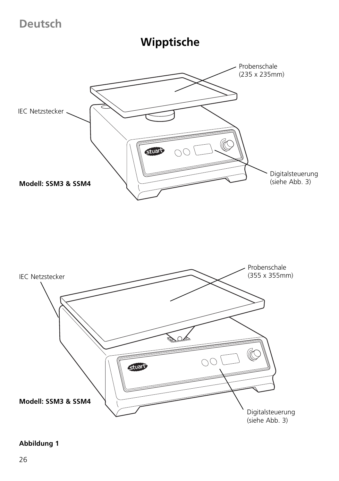**Deutsch**

**Wipptische**





### **Abbildung 1**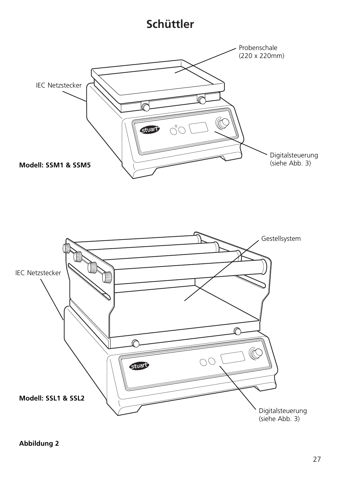## **Schüttler**



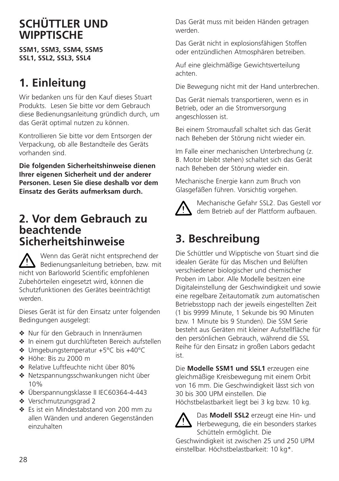## **SCHÜTTLER UND WIPPTISCHE**

**SSM1, SSM3, SSM4, SSM5 SSL1, SSL2, SSL3, SSL4**

## **1. Einleitung**

Wir bedanken uns für den Kauf dieses Stuart Produkts. Lesen Sie bitte vor dem Gebrauch diese Bedienungsanleitung gründlich durch, um das Gerät optimal nutzen zu können.

Kontrollieren Sie bitte vor dem Entsorgen der Verpackung, ob alle Bestandteile des Geräts vorhanden sind.

**Die folgenden Sicherheitshinweise dienen Ihrer eigenen Sicherheit und der anderer Personen. Lesen Sie diese deshalb vor dem Einsatz des Geräts aufmerksam durch.**

### **2. Vor dem Gebrauch zu beachtende Sicherheitshinweise**

Wenn das Gerät nicht entsprechend der Bedienungsanleitung betrieben, bzw. mit nicht von Barloworld Scientific empfohlenen Zubehörteilen eingesetzt wird, können die Schutzfunktionen des Gerätes beeinträchtigt werden.

Dieses Gerät ist für den Einsatz unter folgenden Bedingungen ausgelegt:

- ❖ Nur für den Gebrauch in Innenräumen
- ❖ In einem gut durchlüfteten Bereich aufstellen
- ❖ Umgebungstemperatur +5°C bis +40°C
- ❖ Höhe: Bis zu 2000 m
- ❖ Relative Luftfeuchte nicht über 80%
- ❖ Netzspannungsschwankungen nicht über 10%
- ❖ Überspannungsklasse II IEC60364-4-443
- ❖ Verschmutzungsgrad 2
- ❖ Es ist ein Mindestabstand von 200 mm zu allen Wänden und anderen Gegenständen einzuhalten

Das Gerät muss mit beiden Händen getragen werden.

Das Gerät nicht in explosionsfähigen Stoffen oder entzündlichen Atmosphären betreiben.

Auf eine gleichmäßige Gewichtsverteilung achten.

Die Bewegung nicht mit der Hand unterbrechen.

Das Gerät niemals transportieren, wenn es in Betrieb, oder an die Stromversorgung angeschlossen ist.

Bei einem Stromausfall schaltet sich das Gerät nach Beheben der Störung nicht wieder ein.

Im Falle einer mechanischen Unterbrechung (z. B. Motor bleibt stehen) schaltet sich das Gerät nach Beheben der Störung wieder ein.

Mechanische Energie kann zum Bruch von Glasgefäßen führen. Vorsichtig vorgehen.



Mechanische Gefahr SSL2. Das Gestell vor dem Betrieb auf der Plattform aufbauen.

## **3. Beschreibung**

Die Schüttler und Wipptische von Stuart sind die idealen Geräte für das Mischen und Belüften verschiedener biologischer und chemischer Proben im Labor. Alle Modelle besitzen eine Digitaleinstellung der Geschwindigkeit und sowie eine regelbare Zeitautomatik zum automatischen Betriebsstopp nach der jeweils eingestellten Zeit (1 bis 9999 Minute, 1 Sekunde bis 90 Minuten bzw. 1 Minute bis 9 Stunden). Die SSM Serie besteht aus Geräten mit kleiner Aufstellfläche für den persönlichen Gebrauch, während die SSL Reihe für den Einsatz in großen Labors gedacht ist.

Die **Modelle SSM1 und SSL1** erzeugen eine gleichmäßige Kreisbewegung mit einem Orbit von 16 mm. Die Geschwindigkeit lässt sich von 30 bis 300 UPM einstellen. Die Höchstbelastbarkeit liegt bei 3 kg bzw. 10 kg.



Das **Modell SSL2** erzeugt eine Hin- und Herbewegung, die ein besonders starkes Schütteln ermöglicht. Die

Geschwindigkeit ist zwischen 25 und 250 UPM einstellbar. Höchstbelastbarkeit: 10 kg\*.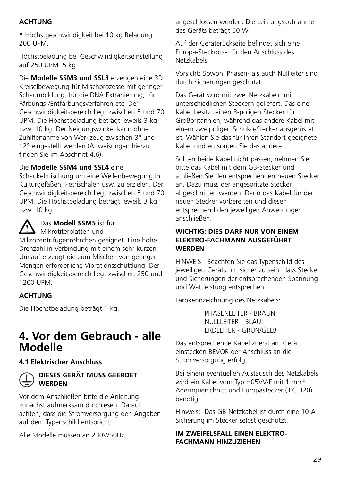### **ACHTUNG**

\* Höchstgeschwindigkeit bei 10 kg Beladung: 200 UPM.

Höchstbeladung bei Geschwindigkeitseinstellung auf 250 UPM: 5 kg.

Die **Modelle SSM3 und SSL3** erzeugen eine 3D Kreiselbewegung für Mischprozesse mit geringer Schaumbildung, für die DNA Extrahierung, für Färbungs-/Entfärbungsverfahren etc. Der Geschwindigkeitsbereich liegt zwischen 5 und 70 UPM. Die Höchstbeladung beträgt jeweils 3 kg bzw. 10 kg. Der Neigungswinkel kann ohne Zuhilfenahme von Werkzeug zwischen 3° und 12° eingestellt werden (Anweisungen hierzu finden Sie im Abschnitt 4.6).

#### Die **Modelle SSM4 und SSL4** eine

Schaukelmischung um eine Wellenbewegung in Kulturgefäßen, Petrischalen usw. zu erzielen. Der Geschwindigkeitsbereich liegt zwischen 5 und 70 UPM. Die Höchstbeladung beträgt jeweils 3 kg bzw. 10 kg.

Das **Modell SSM5** ist für **Mikrotiterplatten und** 

Mikrozentrifugenröhrchen geeignet. Eine hohe Drehzahl in Verbindung mit einem sehr kurzen Umlauf erzeugt die zum Mischen von geringen Mengen erforderliche Vibrationsschüttlung. Der Geschwindigkeitsbereich liegt zwischen 250 und 1200 UPM.

### **ACHTUNG**

Die Höchstbeladung beträgt 1 kg.

### **4. Vor dem Gebrauch - alle Modelle**

### **4.1 Elektrischer Anschluss**



#### **DIESES GERÄT MUSS GEERDET WERDEN**

Vor dem Anschließen bitte die Anleitung zunächst aufmerksam durchlesen. Darauf achten, dass die Stromversorgung den Angaben auf dem Typenschild entspricht.

Alle Modelle müssen an 230V/50Hz

angeschlossen werden. Die Leistungsaufnahme des Geräts beträgt 50 W.

Auf der Geräterückseite befindet sich eine Europa-Steckdose für den Anschluss des Netzkabels.

Vorsicht: Sowohl Phasen- als auch Nullleiter sind durch Sicherungen geschützt.

Das Gerät wird mit zwei Netzkabeln mit unterschiedlichen Steckern geliefert. Das eine Kabel besitzt einen 3-poligen Stecker für Großbritannien, während das andere Kabel mit einem zweipoligen Schuko-Stecker ausgerüstet ist. Wählen Sie das für Ihren Standort geeignete Kabel und entsorgen Sie das andere.

Sollten beide Kabel nicht passen, nehmen Sie bitte das Kabel mit dem GB-Stecker und schließen Sie den entsprechenden neuen Stecker an. Dazu muss der angespritzte Stecker abgeschnitten werden. Dann das Kabel für den neuen Stecker vorbereiten und diesen entsprechend den jeweiligen Anweisungen anschließen.

#### **WICHTIG: DIES DARF NUR VON EINEM ELEKTRO-FACHMANN AUSGEFÜHRT WERDEN**

HINWEIS: Beachten Sie das Typenschild des jeweiligen Geräts um sicher zu sein, dass Stecker und Sicherungen der entsprechenden Spannung und Wattleistung entsprechen.

Farbkennzeichnung des Netzkabels:

PHASENI FITER - BRAUN NULLLEITER - BLAU ERDLEITER - GRÜN/GELB

Das entsprechende Kabel zuerst am Gerät einstecken BEVOR der Anschluss an die Stromversorgung erfolgt.

Bei einem eventuellen Austausch des Netzkabels wird ein Kabel vom Typ H05VV-F mit 1 mm<sup>2</sup> Adernquerschnitt und Europastecker (IEC 320) benötigt.

Hinweis: Das GB-Netzkabel ist durch eine 10 A Sicherung im Stecker selbst geschützt.

### **IM ZWEIFFLSFALL FINEN FLEKTRO-FACHMANN HINZUZIEHEN**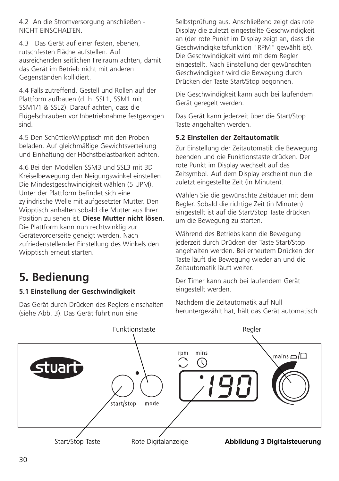4.2 An die Stromversorgung anschließen - NICHT EINSCHALTEN.

4.3 Das Gerät auf einer festen, ebenen, rutschfesten Fläche aufstellen. Auf ausreichenden seitlichen Freiraum achten, damit das Gerät im Betrieb nicht mit anderen Gegenständen kollidiert.

4.4 Falls zutreffend, Gestell und Rollen auf der Plattform aufbauen (d. h. SSL1, SSM1 mit SSM1/1 & SSL2). Darauf achten, dass die Flügelschrauben vor Inbetriebnahme festgezogen sind.

4.5 Den Schüttler/Wipptisch mit den Proben beladen. Auf gleichmäßige Gewichtsverteilung und Einhaltung der Höchstbelastbarkeit achten.

4.6 Bei den Modellen SSM3 und SSL3 mit 3D Kreiselbewegung den Neigungswinkel einstellen. Die Mindestgeschwindigkeit wählen (5 UPM). Unter der Plattform befindet sich eine zylindrische Welle mit aufgesetzter Mutter. Den Wipptisch anhalten sobald die Mutter aus Ihrer Position zu sehen ist. **Diese Mutter nicht lösen**. Die Plattform kann nun rechtwinklig zur Gerätevorderseite geneigt werden. Nach zufriedenstellender Einstellung des Winkels den Wipptisch erneut starten.

## **5. Bedienung**

### **5.1 Einstellung der Geschwindigkeit**

Das Gerät durch Drücken des Reglers einschalten (siehe Abb. 3). Das Gerät führt nun eine

Selbstprüfung aus. Anschließend zeigt das rote Display die zuletzt eingestellte Geschwindigkeit an (der rote Punkt im Display zeigt an, dass die Geschwindigkeitsfunktion "RPM" gewählt ist). Die Geschwindigkeit wird mit dem Regler eingestellt. Nach Einstellung der gewünschten Geschwindigkeit wird die Bewegung durch Drücken der Taste Start/Stop begonnen.

Die Geschwindigkeit kann auch bei laufendem Gerät geregelt werden.

Das Gerät kann jederzeit über die Start/Stop Taste angehalten werden.

### **5.2 Einstellen der Zeitautomatik**

Zur Einstellung der Zeitautomatik die Bewegung beenden und die Funktionstaste drücken. Der rote Punkt im Display wechselt auf das Zeitsymbol. Auf dem Display erscheint nun die zuletzt eingestellte Zeit (in Minuten).

Wählen Sie die gewünschte Zeitdauer mit dem Regler. Sobald die richtige Zeit (in Minuten) eingestellt ist auf die Start/Stop Taste drücken um die Bewegung zu starten.

Während des Betriebs kann die Bewegung jederzeit durch Drücken der Taste Start/Stop angehalten werden. Bei erneutem Drücken der Taste läuft die Bewegung wieder an und die Zeitautomatik läuft weiter.

Der Timer kann auch bei laufendem Gerät eingestellt werden.

Nachdem die Zeitautomatik auf Null heruntergezählt hat, hält das Gerät automatisch

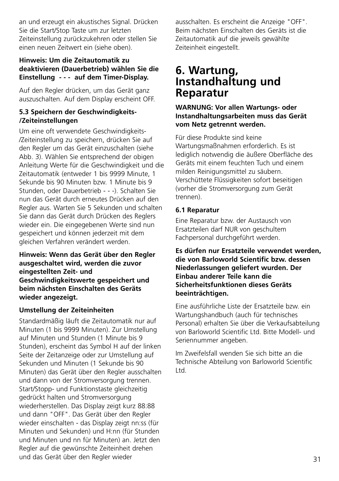an und erzeugt ein akustisches Signal. Drücken Sie die Start/Stop Taste um zur letzten Zeiteinstellung zurückzukehren oder stellen Sie einen neuen Zeitwert ein (siehe oben).

### **Hinweis: Um die Zeitautomatik zu deaktivieren (Dauerbetrieb) wählen Sie die Einstellung - - - auf dem Timer-Display.**

Auf den Regler drücken, um das Gerät ganz auszuschalten. Auf dem Display erscheint OFF.

### **5.3 Speichern der Geschwindigkeits- /Zeiteinstellungen**

Um eine oft verwendete Geschwindigkeits- /Zeiteinstellung zu speichern, drücken Sie auf den Regler um das Gerät einzuschalten (siehe Abb. 3). Wählen Sie entsprechend der obigen Anleitung Werte für die Geschwindigkeit und die Zeitautomatik (entweder 1 bis 9999 Minute, 1 Sekunde bis 90 Minuten bzw. 1 Minute bis 9 Stunden, oder Dauerbetrieb - - -). Schalten Sie nun das Gerät durch erneutes Drücken auf den Regler aus. Warten Sie 5 Sekunden und schalten Sie dann das Gerät durch Drücken des Reglers wieder ein. Die eingegebenen Werte sind nun gespeichert und können jederzeit mit dem gleichen Verfahren verändert werden.

**Hinweis: Wenn das Gerät über den Regler ausgeschaltet wird, werden die zuvor eingestellten Zeit- und Geschwindigkeitswerte gespeichert und beim nächsten Einschalten des Geräts wieder angezeigt.**

### **Umstellung der Zeiteinheiten**

Standardmäßig läuft die Zeitautomatik nur auf Minuten (1 bis 9999 Minuten). Zur Umstellung auf Minuten und Stunden (1 Minute bis 9 Stunden), erscheint das Symbol H auf der linken Seite der Zeitanzeige oder zur Umstellung auf Sekunden und Minuten (1 Sekunde bis 90 Minuten) das Gerät über den Regler ausschalten und dann von der Stromversorgung trennen. Start/Stopp- und Funktionstaste gleichzeitig gedrückt halten und Stromversorgung wiederherstellen. Das Display zeigt kurz 88:88 und dann "OFF". Das Gerät über den Regler wieder einschalten - das Display zeigt nn:ss (für Minuten und Sekunden) und H:nn (für Stunden und Minuten und nn für Minuten) an. Jetzt den Regler auf die gewünschte Zeiteinheit drehen und das Gerät über den Regler wieder

ausschalten. Es erscheint die Anzeige "OFF". Beim nächsten Einschalten des Geräts ist die Zeitautomatik auf die jeweils gewählte Zeiteinheit eingestellt.

### **6. Wartung, Instandhaltung und Reparatur**

### **WARNUNG: Vor allen Wartungs- oder Instandhaltungsarbeiten muss das Gerät vom Netz getrennt werden.**

Für diese Produkte sind keine Wartungsmaßnahmen erforderlich. Es ist lediglich notwendig die äußere Oberfläche des Geräts mit einem feuchten Tuch und einem milden Reinigungsmittel zu säubern. Verschüttete Flüssigkeiten sofort beseitigen (vorher die Stromversorgung zum Gerät trennen).

### **6.1 Reparatur**

Eine Reparatur bzw. der Austausch von Ersatzteilen darf NUR von geschultem Fachpersonal durchgeführt werden.

### **Es dürfen nur Ersatzteile verwendet werden, die von Barloworld Scientific bzw. dessen Niederlassungen geliefert wurden. Der Einbau anderer Teile kann die Sicherheitsfunktionen dieses Geräts beeinträchtigen.**

Eine ausführliche Liste der Ersatzteile bzw. ein Wartungshandbuch (auch für technisches Personal) erhalten Sie über die Verkaufsabteilung von Barloworld Scientific Ltd. Bitte Modell- und Seriennummer angeben.

Im Zweifelsfall wenden Sie sich bitte an die Technische Abteilung von Barloworld Scientific Ltd.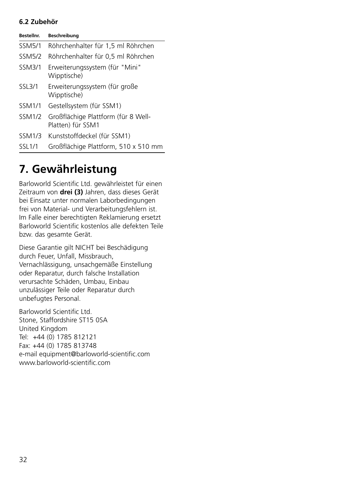### **6.2 Zubehör**

| Bestellnr.    | Beschreibung                                             |
|---------------|----------------------------------------------------------|
| <b>SSM5/1</b> | Röhrchenhalter für 1,5 ml Röhrchen                       |
| <b>SSM5/2</b> | Röhrchenhalter für 0.5 ml Röhrchen                       |
| SSM3/1        | Erweiterungssystem (für "Mini"<br>Wipptische)            |
| <b>SSL3/1</b> | Erweiterungssystem (für große<br>Wipptische)             |
| <b>SSM1/1</b> | Gestellsystem (für SSM1)                                 |
| <b>SSM1/2</b> | Großflächige Plattform (für 8 Well-<br>Platten) für SSM1 |
| <b>SSM1/3</b> | Kunststoffdeckel (für SSM1)                              |
| <b>SSL1/1</b> | Großflächige Plattform, 510 x 510 mm                     |

## **7. Gewährleistung**

Barloworld Scientific Ltd. gewährleistet für einen Zeitraum von **drei (3)** Jahren, dass dieses Gerät bei Einsatz unter normalen Laborbedingungen frei von Material- und Verarbeitungsfehlern ist. Im Falle einer berechtigten Reklamierung ersetzt Barloworld Scientific kostenlos alle defekten Teile bzw. das gesamte Gerät.

Diese Garantie gilt NICHT bei Beschädigung durch Feuer, Unfall, Missbrauch, Vernachlässigung, unsachgemäße Einstellung oder Reparatur, durch falsche Installation verursachte Schäden, Umbau, Einbau unzulässiger Teile oder Reparatur durch unbefugtes Personal.

Barloworld Scientific Ltd. Stone, Staffordshire ST15 0SA United Kingdom Tel: +44 (0) 1785 812121 Fax: +44 (0) 1785 813748 e-mail equipment@barloworld-scientific.com www.barloworld-scientific.com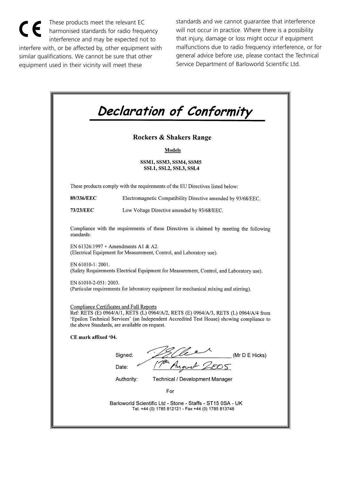$\epsilon$ These products meet the relevant EC harmonised standards for radio frequency interference and may be expected not to interfere with, or be affected by, other equipment with similar qualifications. We cannot be sure that other equipment used in their vicinity will meet these

standards and we cannot guarantee that interference will not occur in practice. Where there is a possibility that injury, damage or loss might occur if equipment malfunctions due to radio frequency interference, or for general advice before use, please contact the Technical Service Department of Barloworld Scientific Ltd.

| <b>Rockers &amp; Shakers Range</b><br>Models<br>SSM1, SSM3, SSM4, SSM5<br>SSL1, SSL2, SSL3, SSL4<br>These products comply with the requirements of the EU Directives listed below:<br>89/336/EEC<br>Electromagnetic Compatibility Directive amended by 93/68/EEC.<br>73/23/EEC<br>Low Voltage Directive amended by 93/68/EEC.<br>Compliance with the requirements of these Directives is claimed by meeting the following<br>standards:<br>EN 61326:1997 + Amendments A1 & A2.<br>(Electrical Equipment for Measurement, Control, and Laboratory use).<br>EN 61010-1: 2001.<br>(Safety Requirements Electrical Equipment for Measurement, Control, and Laboratory use).<br>EN 61010-2-051: 2003.<br>(Particular requirements for laboratory equipment for mechanical mixing and stirring).<br>Compliance Certificates and Full Reports<br>Ref: RETS (E) 0964/A/1, RETS (L) 0964/A/2, RETS (E) 0964/A/3, RETS (L) 0964/A/4 from<br>'Epsilon Technical Services' (an Independent Accredited Test House) showing compliance to<br>the above Standards, are available on request.<br>CE mark affixed '04.<br>Signed:<br>(Mr D E Hicks)<br>おつく<br>Date:<br>Authority:<br><b>Technical / Development Manager</b><br>For |  |
|-------------------------------------------------------------------------------------------------------------------------------------------------------------------------------------------------------------------------------------------------------------------------------------------------------------------------------------------------------------------------------------------------------------------------------------------------------------------------------------------------------------------------------------------------------------------------------------------------------------------------------------------------------------------------------------------------------------------------------------------------------------------------------------------------------------------------------------------------------------------------------------------------------------------------------------------------------------------------------------------------------------------------------------------------------------------------------------------------------------------------------------------------------------------------------------------------------------------|--|
|                                                                                                                                                                                                                                                                                                                                                                                                                                                                                                                                                                                                                                                                                                                                                                                                                                                                                                                                                                                                                                                                                                                                                                                                                   |  |
|                                                                                                                                                                                                                                                                                                                                                                                                                                                                                                                                                                                                                                                                                                                                                                                                                                                                                                                                                                                                                                                                                                                                                                                                                   |  |
|                                                                                                                                                                                                                                                                                                                                                                                                                                                                                                                                                                                                                                                                                                                                                                                                                                                                                                                                                                                                                                                                                                                                                                                                                   |  |
|                                                                                                                                                                                                                                                                                                                                                                                                                                                                                                                                                                                                                                                                                                                                                                                                                                                                                                                                                                                                                                                                                                                                                                                                                   |  |
|                                                                                                                                                                                                                                                                                                                                                                                                                                                                                                                                                                                                                                                                                                                                                                                                                                                                                                                                                                                                                                                                                                                                                                                                                   |  |
|                                                                                                                                                                                                                                                                                                                                                                                                                                                                                                                                                                                                                                                                                                                                                                                                                                                                                                                                                                                                                                                                                                                                                                                                                   |  |
|                                                                                                                                                                                                                                                                                                                                                                                                                                                                                                                                                                                                                                                                                                                                                                                                                                                                                                                                                                                                                                                                                                                                                                                                                   |  |
|                                                                                                                                                                                                                                                                                                                                                                                                                                                                                                                                                                                                                                                                                                                                                                                                                                                                                                                                                                                                                                                                                                                                                                                                                   |  |
|                                                                                                                                                                                                                                                                                                                                                                                                                                                                                                                                                                                                                                                                                                                                                                                                                                                                                                                                                                                                                                                                                                                                                                                                                   |  |
|                                                                                                                                                                                                                                                                                                                                                                                                                                                                                                                                                                                                                                                                                                                                                                                                                                                                                                                                                                                                                                                                                                                                                                                                                   |  |
|                                                                                                                                                                                                                                                                                                                                                                                                                                                                                                                                                                                                                                                                                                                                                                                                                                                                                                                                                                                                                                                                                                                                                                                                                   |  |
|                                                                                                                                                                                                                                                                                                                                                                                                                                                                                                                                                                                                                                                                                                                                                                                                                                                                                                                                                                                                                                                                                                                                                                                                                   |  |
|                                                                                                                                                                                                                                                                                                                                                                                                                                                                                                                                                                                                                                                                                                                                                                                                                                                                                                                                                                                                                                                                                                                                                                                                                   |  |
|                                                                                                                                                                                                                                                                                                                                                                                                                                                                                                                                                                                                                                                                                                                                                                                                                                                                                                                                                                                                                                                                                                                                                                                                                   |  |